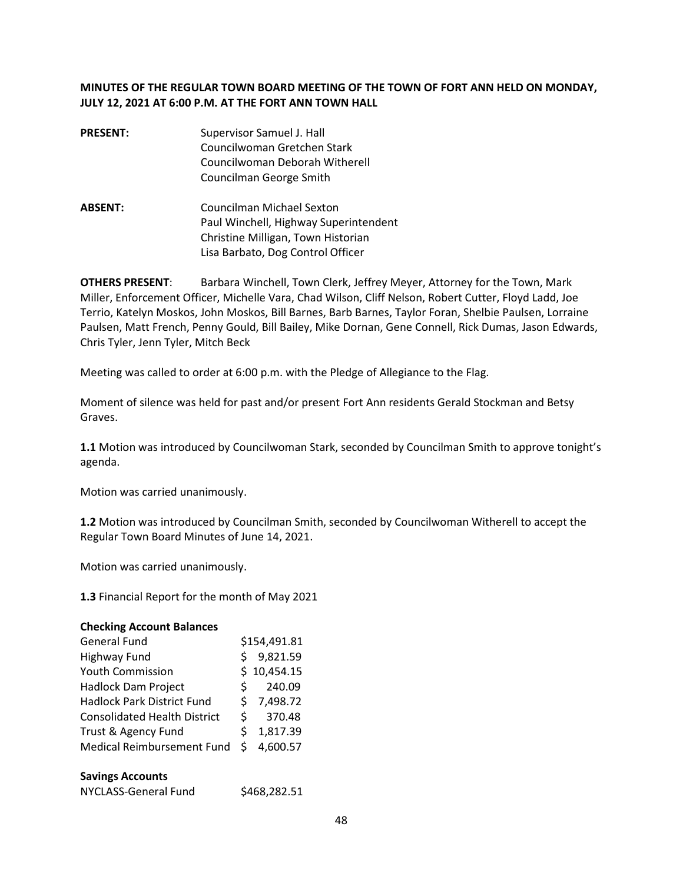# **MINUTES OF THE REGULAR TOWN BOARD MEETING OF THE TOWN OF FORT ANN HELD ON MONDAY, JULY 12, 2021 AT 6:00 P.M. AT THE FORT ANN TOWN HALL**

- **PRESENT:** Supervisor Samuel J. Hall Councilwoman Gretchen Stark Councilwoman Deborah Witherell Councilman George Smith
- **ABSENT:** Councilman Michael Sexton Paul Winchell, Highway Superintendent Christine Milligan, Town Historian Lisa Barbato, Dog Control Officer

**OTHERS PRESENT**: Barbara Winchell, Town Clerk, Jeffrey Meyer, Attorney for the Town, Mark Miller, Enforcement Officer, Michelle Vara, Chad Wilson, Cliff Nelson, Robert Cutter, Floyd Ladd, Joe Terrio, Katelyn Moskos, John Moskos, Bill Barnes, Barb Barnes, Taylor Foran, Shelbie Paulsen, Lorraine Paulsen, Matt French, Penny Gould, Bill Bailey, Mike Dornan, Gene Connell, Rick Dumas, Jason Edwards, Chris Tyler, Jenn Tyler, Mitch Beck

Meeting was called to order at 6:00 p.m. with the Pledge of Allegiance to the Flag.

Moment of silence was held for past and/or present Fort Ann residents Gerald Stockman and Betsy Graves.

**1.1** Motion was introduced by Councilwoman Stark, seconded by Councilman Smith to approve tonight's agenda.

Motion was carried unanimously.

**1.2** Motion was introduced by Councilman Smith, seconded by Councilwoman Witherell to accept the Regular Town Board Minutes of June 14, 2021.

Motion was carried unanimously.

**1.3** Financial Report for the month of May 2021

| <b>General Fund</b>                 |    | \$154,491.81 |
|-------------------------------------|----|--------------|
| Highway Fund                        | S  | 9,821.59     |
| <b>Youth Commission</b>             |    | \$10,454.15  |
| Hadlock Dam Project                 | Ś  | 240.09       |
| <b>Hadlock Park District Fund</b>   |    | \$7,498.72   |
| <b>Consolidated Health District</b> | Ś  | 370.48       |
| Trust & Agency Fund                 | S. | 1,817.39     |
| Medical Reimbursement Fund          | Ś. | 4.600.57     |

#### **Savings Accounts**

| NYCLASS-General Fund | \$468,282.51 |
|----------------------|--------------|
|----------------------|--------------|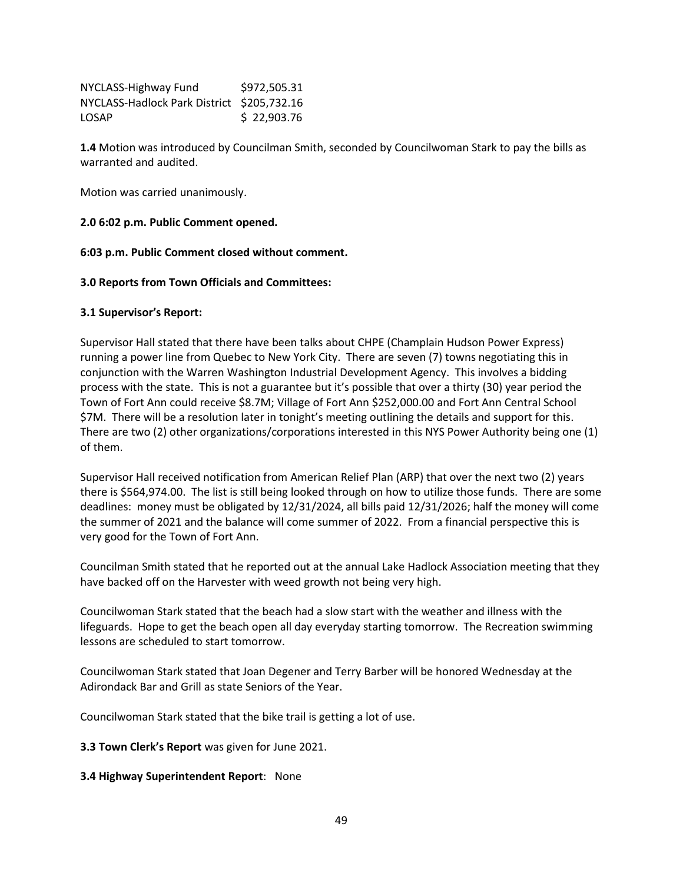| NYCLASS-Highway Fund                       | \$972,505.31 |
|--------------------------------------------|--------------|
| NYCLASS-Hadlock Park District \$205.732.16 |              |
| <b>LOSAP</b>                               | \$22,903.76  |

**1.4** Motion was introduced by Councilman Smith, seconded by Councilwoman Stark to pay the bills as warranted and audited.

Motion was carried unanimously.

### **2.0 6:02 p.m. Public Comment opened.**

### **6:03 p.m. Public Comment closed without comment.**

### **3.0 Reports from Town Officials and Committees:**

### **3.1 Supervisor's Report:**

Supervisor Hall stated that there have been talks about CHPE (Champlain Hudson Power Express) running a power line from Quebec to New York City. There are seven (7) towns negotiating this in conjunction with the Warren Washington Industrial Development Agency. This involves a bidding process with the state. This is not a guarantee but it's possible that over a thirty (30) year period the Town of Fort Ann could receive \$8.7M; Village of Fort Ann \$252,000.00 and Fort Ann Central School \$7M. There will be a resolution later in tonight's meeting outlining the details and support for this. There are two (2) other organizations/corporations interested in this NYS Power Authority being one (1) of them.

Supervisor Hall received notification from American Relief Plan (ARP) that over the next two (2) years there is \$564,974.00. The list is still being looked through on how to utilize those funds. There are some deadlines: money must be obligated by 12/31/2024, all bills paid 12/31/2026; half the money will come the summer of 2021 and the balance will come summer of 2022. From a financial perspective this is very good for the Town of Fort Ann.

Councilman Smith stated that he reported out at the annual Lake Hadlock Association meeting that they have backed off on the Harvester with weed growth not being very high.

Councilwoman Stark stated that the beach had a slow start with the weather and illness with the lifeguards. Hope to get the beach open all day everyday starting tomorrow. The Recreation swimming lessons are scheduled to start tomorrow.

Councilwoman Stark stated that Joan Degener and Terry Barber will be honored Wednesday at the Adirondack Bar and Grill as state Seniors of the Year.

Councilwoman Stark stated that the bike trail is getting a lot of use.

**3.3 Town Clerk's Report** was given for June 2021.

**3.4 Highway Superintendent Report**: None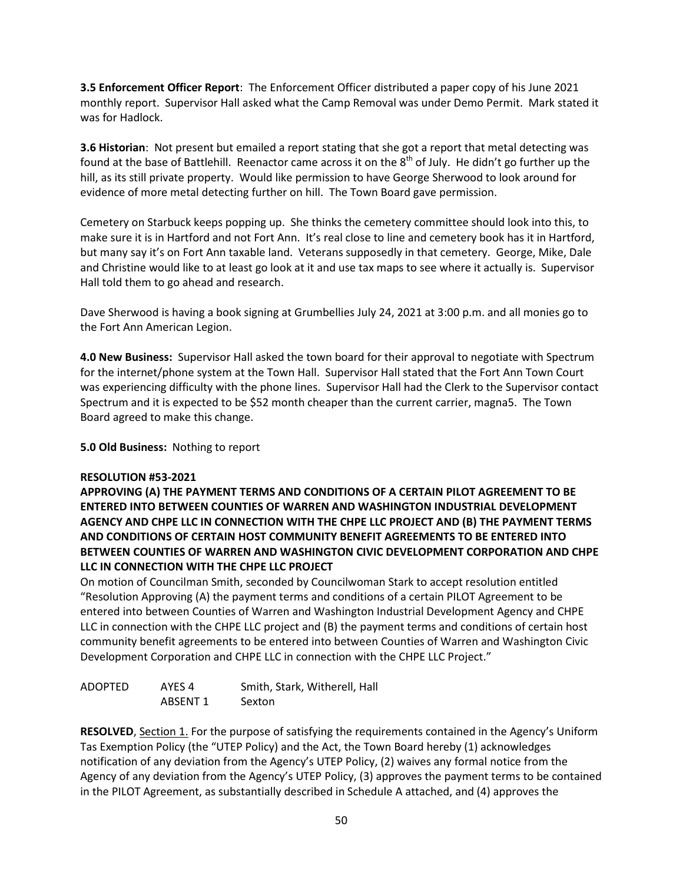**3.5 Enforcement Officer Report**: The Enforcement Officer distributed a paper copy of his June 2021 monthly report. Supervisor Hall asked what the Camp Removal was under Demo Permit. Mark stated it was for Hadlock.

**3.6 Historian**: Not present but emailed a report stating that she got a report that metal detecting was found at the base of Battlehill. Reenactor came across it on the 8<sup>th</sup> of July. He didn't go further up the hill, as its still private property. Would like permission to have George Sherwood to look around for evidence of more metal detecting further on hill. The Town Board gave permission.

Cemetery on Starbuck keeps popping up. She thinks the cemetery committee should look into this, to make sure it is in Hartford and not Fort Ann. It's real close to line and cemetery book has it in Hartford, but many say it's on Fort Ann taxable land. Veterans supposedly in that cemetery. George, Mike, Dale and Christine would like to at least go look at it and use tax maps to see where it actually is. Supervisor Hall told them to go ahead and research.

Dave Sherwood is having a book signing at Grumbellies July 24, 2021 at 3:00 p.m. and all monies go to the Fort Ann American Legion.

**4.0 New Business:** Supervisor Hall asked the town board for their approval to negotiate with Spectrum for the internet/phone system at the Town Hall. Supervisor Hall stated that the Fort Ann Town Court was experiencing difficulty with the phone lines. Supervisor Hall had the Clerk to the Supervisor contact Spectrum and it is expected to be \$52 month cheaper than the current carrier, magna5. The Town Board agreed to make this change.

**5.0 Old Business:** Nothing to report

## **RESOLUTION #53-2021**

**APPROVING (A) THE PAYMENT TERMS AND CONDITIONS OF A CERTAIN PILOT AGREEMENT TO BE ENTERED INTO BETWEEN COUNTIES OF WARREN AND WASHINGTON INDUSTRIAL DEVELOPMENT AGENCY AND CHPE LLC IN CONNECTION WITH THE CHPE LLC PROJECT AND (B) THE PAYMENT TERMS AND CONDITIONS OF CERTAIN HOST COMMUNITY BENEFIT AGREEMENTS TO BE ENTERED INTO BETWEEN COUNTIES OF WARREN AND WASHINGTON CIVIC DEVELOPMENT CORPORATION AND CHPE LLC IN CONNECTION WITH THE CHPE LLC PROJECT** 

On motion of Councilman Smith, seconded by Councilwoman Stark to accept resolution entitled "Resolution Approving (A) the payment terms and conditions of a certain PILOT Agreement to be entered into between Counties of Warren and Washington Industrial Development Agency and CHPE LLC in connection with the CHPE LLC project and (B) the payment terms and conditions of certain host community benefit agreements to be entered into between Counties of Warren and Washington Civic Development Corporation and CHPE LLC in connection with the CHPE LLC Project."

| ADOPTED | AYES 4   | Smith, Stark, Witherell, Hall |
|---------|----------|-------------------------------|
|         | ABSENT 1 | Sexton                        |

**RESOLVED**, Section 1. For the purpose of satisfying the requirements contained in the Agency's Uniform Tas Exemption Policy (the "UTEP Policy) and the Act, the Town Board hereby (1) acknowledges notification of any deviation from the Agency's UTEP Policy, (2) waives any formal notice from the Agency of any deviation from the Agency's UTEP Policy, (3) approves the payment terms to be contained in the PILOT Agreement, as substantially described in Schedule A attached, and (4) approves the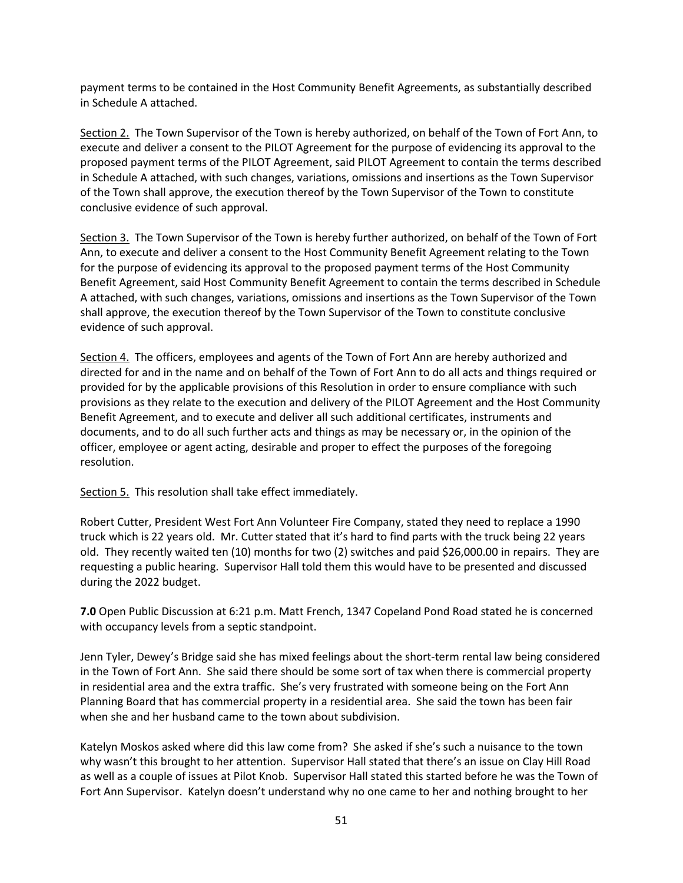payment terms to be contained in the Host Community Benefit Agreements, as substantially described in Schedule A attached.

Section 2. The Town Supervisor of the Town is hereby authorized, on behalf of the Town of Fort Ann, to execute and deliver a consent to the PILOT Agreement for the purpose of evidencing its approval to the proposed payment terms of the PILOT Agreement, said PILOT Agreement to contain the terms described in Schedule A attached, with such changes, variations, omissions and insertions as the Town Supervisor of the Town shall approve, the execution thereof by the Town Supervisor of the Town to constitute conclusive evidence of such approval.

Section 3. The Town Supervisor of the Town is hereby further authorized, on behalf of the Town of Fort Ann, to execute and deliver a consent to the Host Community Benefit Agreement relating to the Town for the purpose of evidencing its approval to the proposed payment terms of the Host Community Benefit Agreement, said Host Community Benefit Agreement to contain the terms described in Schedule A attached, with such changes, variations, omissions and insertions as the Town Supervisor of the Town shall approve, the execution thereof by the Town Supervisor of the Town to constitute conclusive evidence of such approval.

Section 4. The officers, employees and agents of the Town of Fort Ann are hereby authorized and directed for and in the name and on behalf of the Town of Fort Ann to do all acts and things required or provided for by the applicable provisions of this Resolution in order to ensure compliance with such provisions as they relate to the execution and delivery of the PILOT Agreement and the Host Community Benefit Agreement, and to execute and deliver all such additional certificates, instruments and documents, and to do all such further acts and things as may be necessary or, in the opinion of the officer, employee or agent acting, desirable and proper to effect the purposes of the foregoing resolution.

Section 5. This resolution shall take effect immediately.

Robert Cutter, President West Fort Ann Volunteer Fire Company, stated they need to replace a 1990 truck which is 22 years old. Mr. Cutter stated that it's hard to find parts with the truck being 22 years old. They recently waited ten (10) months for two (2) switches and paid \$26,000.00 in repairs. They are requesting a public hearing. Supervisor Hall told them this would have to be presented and discussed during the 2022 budget.

**7.0** Open Public Discussion at 6:21 p.m. Matt French, 1347 Copeland Pond Road stated he is concerned with occupancy levels from a septic standpoint.

Jenn Tyler, Dewey's Bridge said she has mixed feelings about the short-term rental law being considered in the Town of Fort Ann. She said there should be some sort of tax when there is commercial property in residential area and the extra traffic. She's very frustrated with someone being on the Fort Ann Planning Board that has commercial property in a residential area. She said the town has been fair when she and her husband came to the town about subdivision.

Katelyn Moskos asked where did this law come from? She asked if she's such a nuisance to the town why wasn't this brought to her attention. Supervisor Hall stated that there's an issue on Clay Hill Road as well as a couple of issues at Pilot Knob. Supervisor Hall stated this started before he was the Town of Fort Ann Supervisor. Katelyn doesn't understand why no one came to her and nothing brought to her